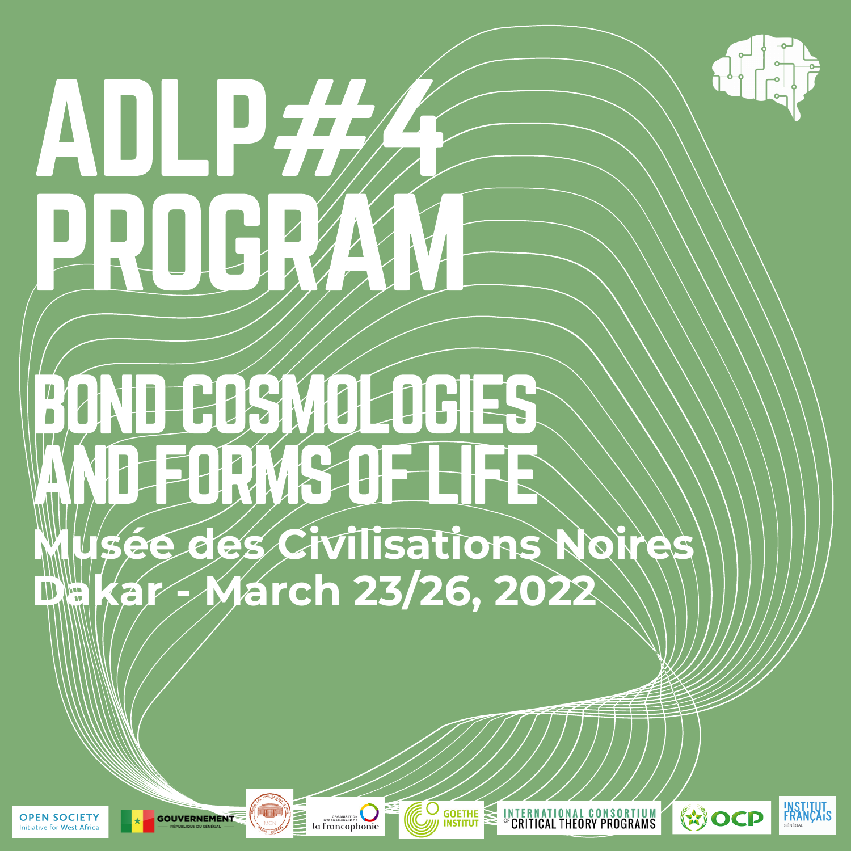# **ADLP** PROGRAM

# BOND COSMOLOGIES AND FORMS OF LIFE **Musée des Civilisations Noires Dakar - March 23/26, 2022**









O

**INTERNATIONAL CONSORTIUM**<br> *CRITICAL THEORY PROGRAMS* 



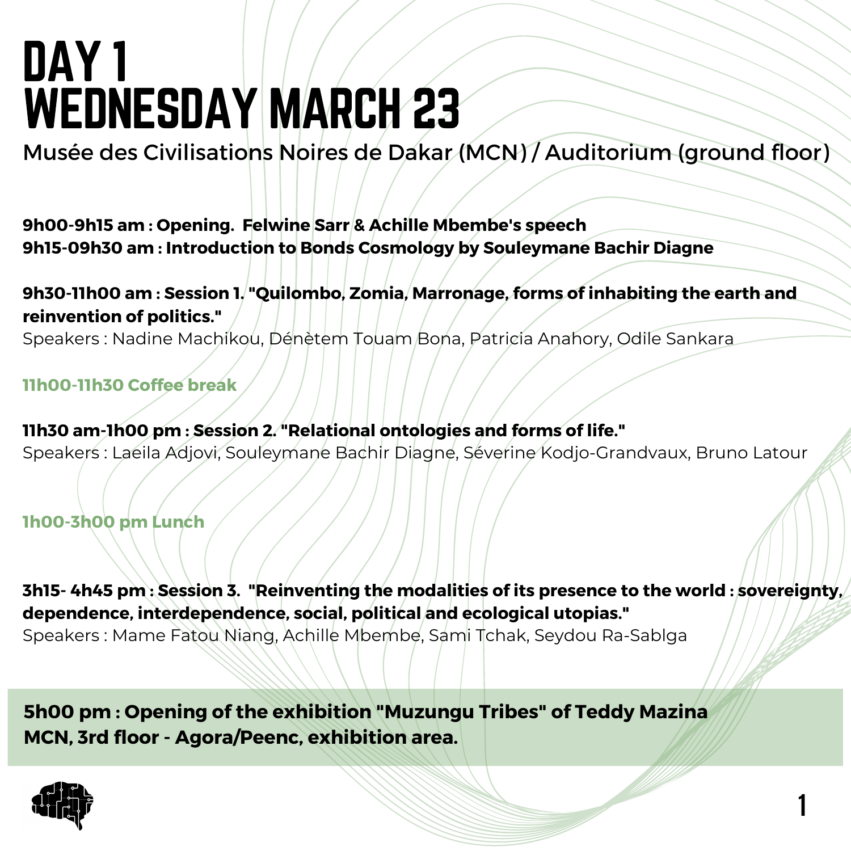# DAY 1 WEDNESDAY MARCH 23

Musée des Civilisations Noires de Dakar (MCN) / Auditorium (ground floor)

**9h00-9h15 am : Opening. Felwine Sarr & Achille Mbembe's speech 9h15-09h30 am : Introduction to Bonds Cosmology by Souleymane Bachir Diagne**

**9h30-11h00 am : Session 1. "Quilombo, Zomia, Marronage, forms of inhabiting the earth and reinvention of politics."**

Speakers : Nadine Machikou, Dénètem Touam Bona, Patricia Anahory, Odile Sankara

**11h00-11h30 Coffee break**

**11h30 am-1h00 pm : Session 2. "Relational ontologies and forms of life."** Speakers : Laeila Adjovi, Souleymane Bachir Diagne, Séverine Kodjo-Grandvaux, Bruno Latour

**1h00-3h00 pm Lunch**

**3h15- 4h45 pm : Session 3. "Reinventing the modalities of its presence to the world : sovereignty, dependence, interdependence, social, political and ecological utopias."** Speakers : Mame Fatou Niang, Achille Mbembe, Sami Tchak, Seydou Ra-Sablga

**1**

**5h00 pm : Opening of the exhibition "Muzungu Tribes" of Teddy Mazina MCN, 3rd floor - Agora/Peenc, exhibition area.**

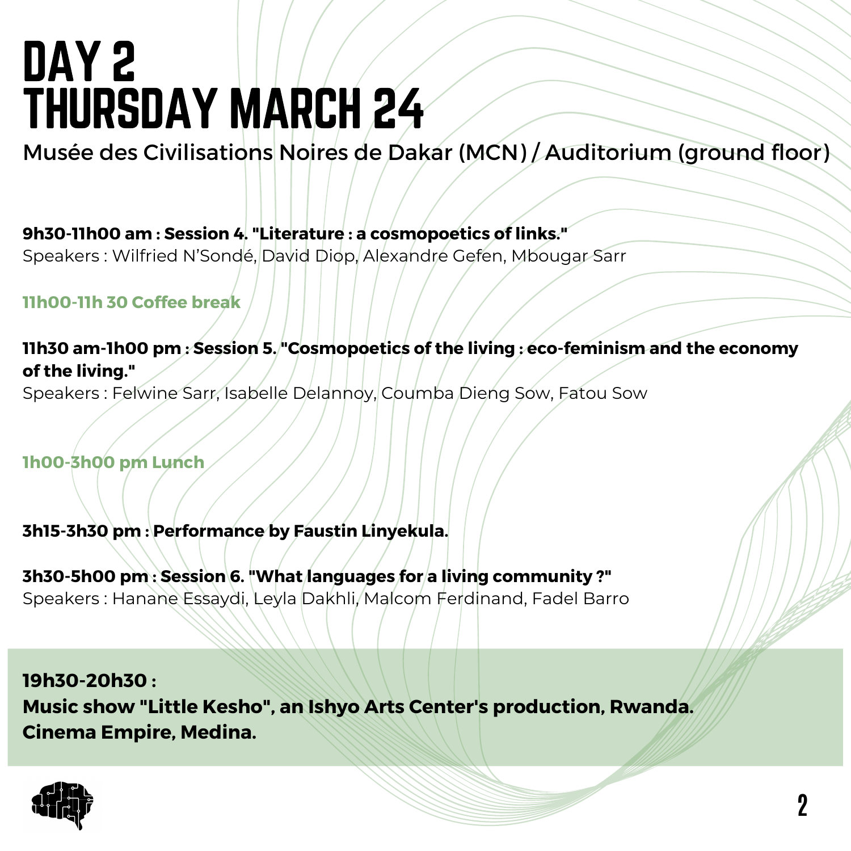# DAY 2 THURSDAY MARCH 24

Musée des Civilisations Noires de Dakar (MCN) / Auditorium (ground floor)

**9h30-11h00 am : Session 4. "Literature : a cosmopoetics of links."**

Speakers : Wilfried N'Sondé, David Diop, Alexandre Gefen, Mbougar Sarr

**11h00-11h 30 Coffee break**

**11h30 am-1h00 pm : Session 5. "Cosmopoetics of the living : eco-feminism and the economy of the living."**

Speakers : Felwine Sarr, Isabelle Delannoy, Coumba Dieng Sow, Fatou Sow

**1h00-3h00 pm Lunch**

**3h15-3h30 pm : Performance by Faustin Linyekula.**

**3h30-5h00 pm : Session 6. "What languages for a living community ?"** Speakers : Hanane Essaydi, Leyla Dakhli, Malcom Ferdinand, Fadel Barro

**19h30-20h30 : Music show "Little Kesho" , an Ishyo Arts Center's production, Rwanda. Cinema Empire, Medina.**

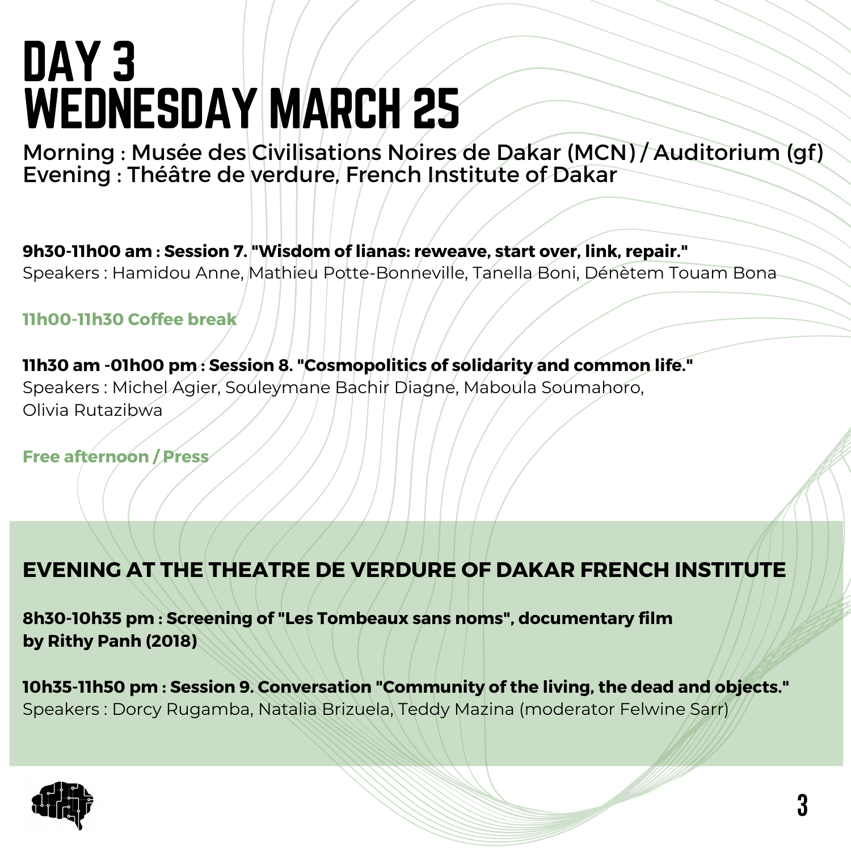# DAY 3 WEDNESDAY MARCH 25

Morning : Musée des Civilisations Noires de Dakar (MCN) / Auditorium (gf) Evening : Théâtre de verdure, French Institute of Dakar

**9h30-11h00 am : Session 7. "Wisdom of lianas: reweave, start over, link, repair."** Speakers : Hamidou Anne, Mathieu Potte-Bonneville, Tanella Boni, Dénètem Touam Bona

**11h00-11h30 Coffee break**

**11h30 am -01h00 pm : Session 8. "Cosmopolitics of solidarity and common life."** Speakers : Michel Agier, Souleymane Bachir Diagne, Maboula Soumahoro, Olivia Rutazibwa

**Free afternoon / Press**

#### **EVENING AT THE THEATRE DE VERDURE OF DAKAR FRENCH INSTITUTE**

**8h30-10h35 pm : Screening of "Les Tombeaux sans noms", documentary film by Rithy Panh (2018)**

**10h35-11h50 pm : Session 9. Conversation "Community of the living, the dead and objects."** Speakers : Dorcy Rugamba, Natalia Brizuela, Teddy Mazina (moderator Felwine Sarr)

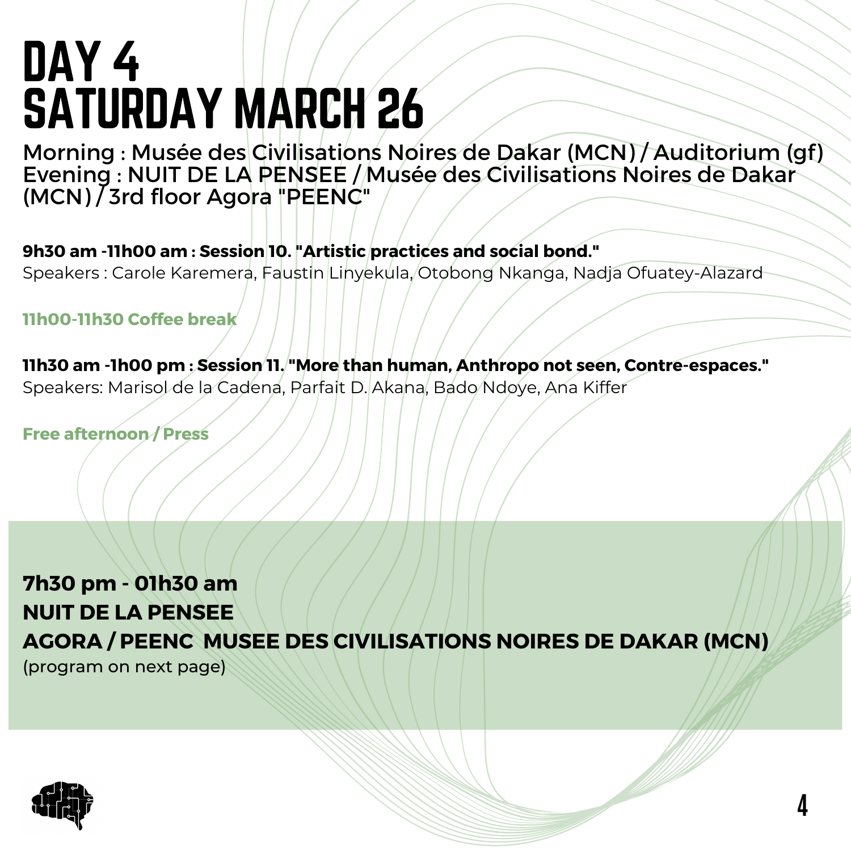# DAY 4 SATURDAY MARCH 26

Morning : Musée des Civilisations Noires de Dakar (MCN) / Auditorium (gf) Evening : NUIT DE LA PENSEE / Musée des Civilisations Noires de Dakar (MCN) / 3rd floor Agora "PEENC"

**9h30 am -11h00 am : Session 10. "Artistic practices and social bond."** Speakers : Carole Karemera, Faustin Linyekula, Otobong Nkanga, Nadja Ofuatey-Alazard

**11h00-11h30 Coffee break**

**11h30 am -1h00 pm : Session 11. "More than human, Anthropo not seen, Contre-espaces."** Speakers: Marisol de la Cadena, Parfait D. Akana, Bado Ndoye, Ana Kiffer

**Free afternoon / Press**

**7h30 pm - 01h30 am NUIT DE LA PENSEE AGORA / PEENC MUSEE DES CIVILISATIONS NOIRES DE DAKAR (MCN)** (program on next page)

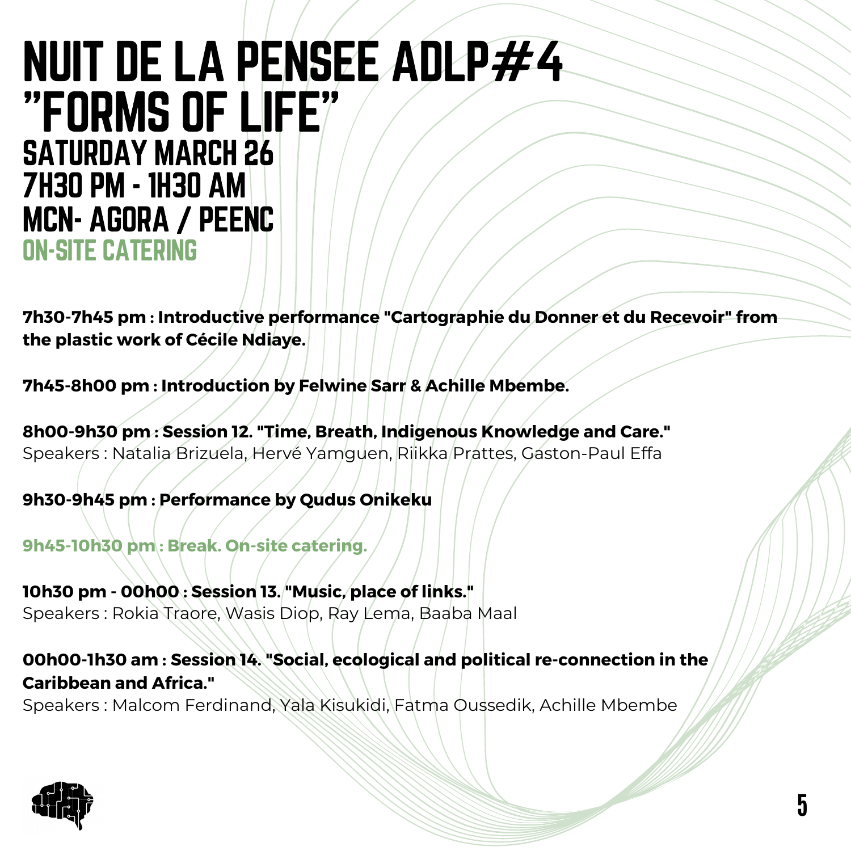#### NUIT DE LA PENSEE ADLP#4 "FORMS OF LIFE" SATURDAY MARCH 26 7H30 PM - 1H30 AM MCN- AGORA / PEENC ON-SITE CATERING

**7h30-7h45 pm : Introductive performance "Cartographie du Donner et du Recevoir" from the plastic work of Cécile Ndiaye.**

**7h45-8h00 pm : Introduction by Felwine Sarr & Achille Mbembe.**

**8h00-9h30 pm : Session 12. "Time, Breath, Indigenous Knowledge and Care."** Speakers : Natalia Brizuela, Hervé Yamguen, Riikka Prattes, Gaston-Paul Effa

**9h30-9h45 pm : Performance by Qudus Onikeku**

**9h45-10h30 pm : Break. On-site catering.**

**10h30 pm - 00h00 : Session 13. "Music, place of links."** Speakers : Rokia Traore, Wasis Diop, Ray Lema, Baaba Maal

**00h00-1h30 am : Session 14. "Social, ecological and political re-connection in the Caribbean and Africa."**

Speakers : Malcom Ferdinand, Yala Kisukidi, Fatma Oussedik, Achille Mbembe